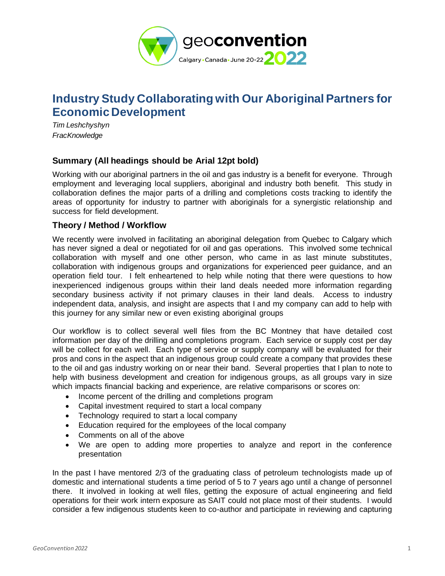

# **Industry Study Collaborating with Our Aboriginal Partners for Economic Development**

*Tim Leshchyshyn FracKnowledge*

## **Summary (All headings should be Arial 12pt bold)**

Working with our aboriginal partners in the oil and gas industry is a benefit for everyone. Through employment and leveraging local suppliers, aboriginal and industry both benefit. This study in collaboration defines the major parts of a drilling and completions costs tracking to identify the areas of opportunity for industry to partner with aboriginals for a synergistic relationship and success for field development.

## **Theory / Method / Workflow**

We recently were involved in facilitating an aboriginal delegation from Quebec to Calgary which has never signed a deal or negotiated for oil and gas operations. This involved some technical collaboration with myself and one other person, who came in as last minute substitutes, collaboration with indigenous groups and organizations for experienced peer guidance, and an operation field tour. I felt enheartened to help while noting that there were questions to how inexperienced indigenous groups within their land deals needed more information regarding secondary business activity if not primary clauses in their land deals. Access to industry independent data, analysis, and insight are aspects that I and my company can add to help with this journey for any similar new or even existing aboriginal groups

Our workflow is to collect several well files from the BC Montney that have detailed cost information per day of the drilling and completions program. Each service or supply cost per day will be collect for each well. Each type of service or supply company will be evaluated for their pros and cons in the aspect that an indigenous group could create a company that provides these to the oil and gas industry working on or near their band. Several properties that I plan to note to help with business development and creation for indigenous groups, as all groups vary in size which impacts financial backing and experience, are relative comparisons or scores on:

- Income percent of the drilling and completions program
- Capital investment required to start a local company
- Technology required to start a local company
- Education required for the employees of the local company
- Comments on all of the above
- We are open to adding more properties to analyze and report in the conference presentation

In the past I have mentored 2/3 of the graduating class of petroleum technologists made up of domestic and international students a time period of 5 to 7 years ago until a change of personnel there. It involved in looking at well files, getting the exposure of actual engineering and field operations for their work intern exposure as SAIT could not place most of their students. I would consider a few indigenous students keen to co-author and participate in reviewing and capturing